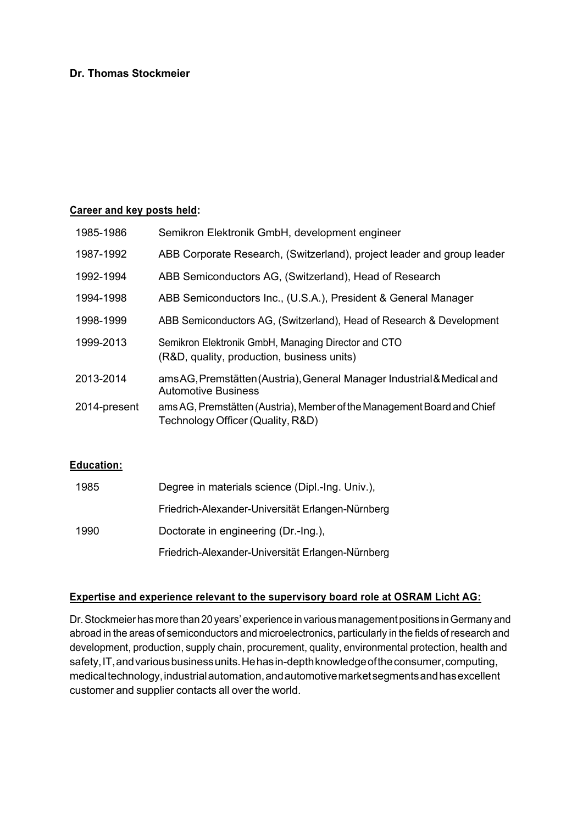### **Dr. Thomas Stockmeier**

### **Career and key posts held:**

| 1985-1986    | Semikron Elektronik GmbH, development engineer                                                               |
|--------------|--------------------------------------------------------------------------------------------------------------|
| 1987-1992    | ABB Corporate Research, (Switzerland), project leader and group leader                                       |
| 1992-1994    | ABB Semiconductors AG, (Switzerland), Head of Research                                                       |
| 1994-1998    | ABB Semiconductors Inc., (U.S.A.), President & General Manager                                               |
| 1998-1999    | ABB Semiconductors AG, (Switzerland), Head of Research & Development                                         |
| 1999-2013    | Semikron Elektronik GmbH, Managing Director and CTO<br>(R&D, quality, production, business units)            |
| 2013-2014    | ams AG, Premstätten (Austria), General Manager Industrial & Medical and<br><b>Automotive Business</b>        |
| 2014-present | ams AG, Premstätten (Austria), Member of the Management Board and Chief<br>Technology Officer (Quality, R&D) |
|              |                                                                                                              |

### **Education:**

| 1985 | Degree in materials science (Dipl.-Ing. Univ.),   |
|------|---------------------------------------------------|
|      | Friedrich-Alexander-Universität Erlangen-Nürnberg |
| 1990 | Doctorate in engineering (Dr.-Ing.),              |
|      | Friedrich-Alexander-Universität Erlangen-Nürnberg |

## **Expertise and experience relevant to the supervisory board role at OSRAM Licht AG:**

Dr.Stockmeier hasmorethan 20years' experience invariousmanagement positions inGermany and abroad in the areas of semiconductors and microelectronics, particularly in the fields of research and development, production, supply chain, procurement, quality, environmental protection, health and safety, IT, and various business units. He has in-depth knowledge of the consumer, computing, medicaltechnology,industrialautomation,andautomotivemarketsegmentsandhasexcellent customer and supplier contacts all over the world.